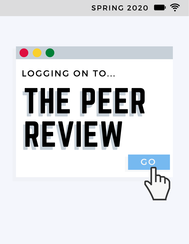$SPRING 2020$   $\blacksquare$ 

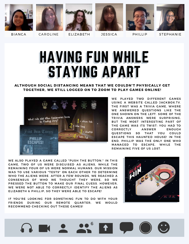











BIANCA CAROLINE ELIZABETH JESSICA PHILLIP STEPHANIE

# HAVING FUN WHILE STAYING APART

### ALTHOUGH SOCIAL DISTANCING MEANS THAT WE COULDN'T PHYSICALLY GET TOGETHER. WE STILL LOGGED ON TO ZOOM TO PLAY GAMES ONLINE!



WE PLAYED TWO DIFFERENT GAMES USING A WEBSITE CALLED JACKBOX.TV. THE FIRST WAS A TRIVIA GAME, WHERE WE ANSWERED QUESTIONS LIKE THE ONE SHOWN ON THE LEFT. SOME OF THE TRIVIA ANSWERS WERE SURPRISING, BUT THE MOST INTERESTING PART OF BUT THE MOST INTERESTING PART OF<br>THE GAME WAS ITS TWIST: YOU HAD TO THE GAME WAS ITS TWIST: YOU HAD TO<br>CORRECTLY ANSWER ENOUGH CORRECTLY ANSWER ENOUGH<br>QUESTIONS SO THAT YOU COULD ESCAPE THIS HAUNTED HOUSE! IN THE END. PHILLIP WAS THE ONLY ONE WHO MANAGED TO ESCAPE, WHILE THE REMAINING FIVE OF US LOST.

WE ALSO PLAYED A GAME CALLED "PUSH THE BUTTON." IN THIS GAME, TWO OF US WERE DISGUISED AS ALIENS, WHILE THE REMAINING FOUR OF US WERE NORMAL HUMANS. OUR MISSION WAS TO USE VARIOUS "TESTS" ON EACH OTHER TO DETERMINE WHO THE ALIENS WERE. AFTER A FEW ROUNDS, WE REACHED A CONSENSUS OF WHO WE THOUGHT THEY WERE, SO WE PRESSED THE BUTTON TO MAKE OUR FINAL GUESS. HOWEVER, WE WERE NOT ABLE TO CORRECTLY IDENTIFY THE ALIENS AS ELIZABETH & PHILLIP. SO THEY WERE ABLE TO ESCAPE!

IF YOU'RE LOOKING FOR SOMETHING FUN TO DO WITH YOUR IF YOU'RE LOOKING FOR SOMETHING FUN TO DO WITH YOUR<br>FRIENDS DURING OUR REMOTE QUARTER, WE WOULD FRIENDS DURING OUR REMOTE QUARTER,<br>RECOMMEND CHECKING OUT THESE GAMES!